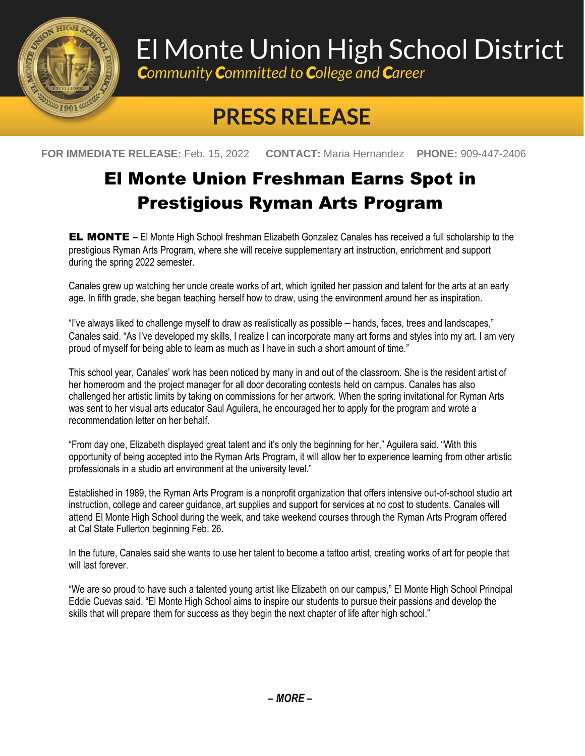

## El Monte Union High School District

**Community Committed to College and Career** 

## **PRESS RELEASE**

**FOR IMMEDIATE RELEASE:** Feb. 15, 2022 **CONTACT:** Maria Hernandez **PHONE:** 909-447-2406

## El Monte Union Freshman Earns Spot in Prestigious Ryman Arts Program

EL MONTE **–** El Monte High School freshman Elizabeth Gonzalez Canales has received a full scholarship to the prestigious Ryman Arts Program, where she will receive supplementary art instruction, enrichment and support during the spring 2022 semester.

Canales grew up watching her uncle create works of art, which ignited her passion and talent for the arts at an early age. In fifth grade, she began teaching herself how to draw, using the environment around her as inspiration.

"I've always liked to challenge myself to draw as realistically as possible – hands, faces, trees and landscapes," Canales said. "As I've developed my skills, I realize I can incorporate many art forms and styles into my art. I am very proud of myself for being able to learn as much as I have in such a short amount of time."

This school year, Canales' work has been noticed by many in and out of the classroom. She is the resident artist of her homeroom and the project manager for all door decorating contests held on campus. Canales has also challenged her artistic limits by taking on commissions for her artwork. When the spring invitational for Ryman Arts was sent to her visual arts educator Saul Aguilera, he encouraged her to apply for the program and wrote a recommendation letter on her behalf.

"From day one, Elizabeth displayed great talent and it's only the beginning for her," Aguilera said. "With this opportunity of being accepted into the Ryman Arts Program, it will allow her to experience learning from other artistic professionals in a studio art environment at the university level."

Established in 1989, the Ryman Arts Program is a nonprofit organization that offers intensive out-of-school studio art instruction, college and career guidance, art supplies and support for services at no cost to students. Canales will attend El Monte High School during the week, and take weekend courses through the Ryman Arts Program offered at Cal State Fullerton beginning Feb. 26.

In the future, Canales said she wants to use her talent to become a tattoo artist, creating works of art for people that will last forever

"We are so proud to have such a talented young artist like Elizabeth on our campus," El Monte High School Principal Eddie Cuevas said. "El Monte High School aims to inspire our students to pursue their passions and develop the skills that will prepare them for success as they begin the next chapter of life after high school."